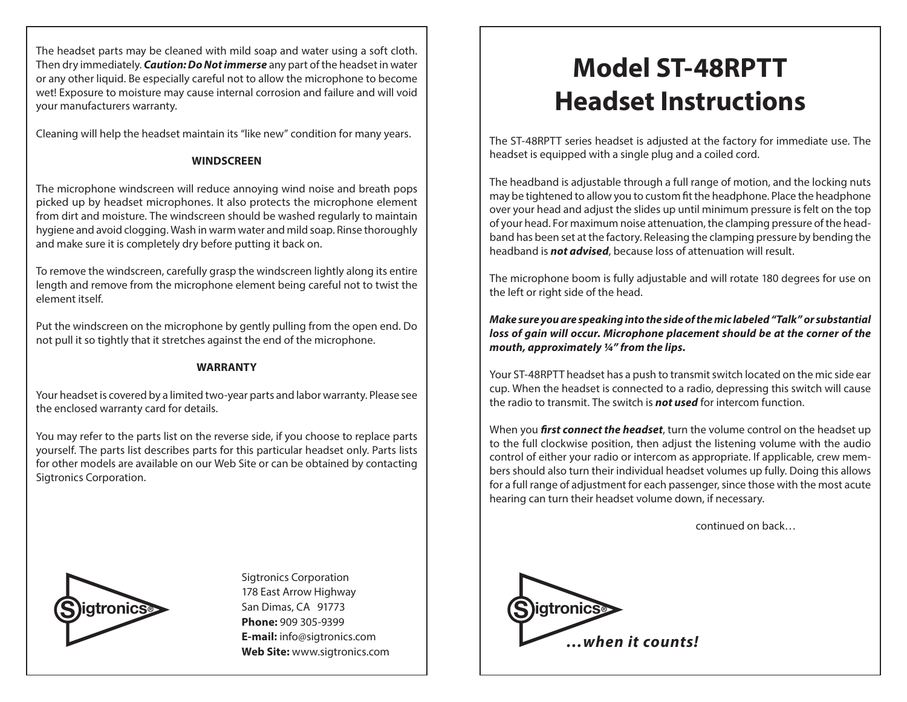The headset parts may be cleaned with mild soap and water using a soft cloth. Then dry immediately. *Caution: Do Not immerse* any part of the headset in water or any other liquid. Be especially careful not to allow the microphone to become wet! Exposure to moisture may cause internal corrosion and failure and will void your manufacturers warranty.

Cleaning will help the headset maintain its "like new" condition for many years.

## **WINDSCREEN**

The microphone windscreen will reduce annoying wind noise and breath pops picked up by headset microphones. It also protects the microphone element from dirt and moisture. The windscreen should be washed regularly to maintain hygiene and avoid clogging. Wash in warm water and mild soap. Rinse thoroughly and make sure it is completely dry before putting it back on.

To remove the windscreen, carefully grasp the windscreen lightly along its entire length and remove from the microphone element being careful not to twist the element itself.

Put the windscreen on the microphone by gently pulling from the open end. Do not pull it so tightly that it stretches against the end of the microphone.

## **WARRANTY**

Your headset is covered by a limited two-year parts and labor warranty. Please see the enclosed warranty card for details.

You may refer to the parts list on the reverse side, if you choose to replace parts yourself. The parts list describes parts for this particular headset only. Parts lists for other models are available on our Web Site or can be obtained by contacting Sigtronics Corporation.



**S igtronics**<br> **S igtronics**<br> **S igtronics** Sigtronics Corporation 178 East Arrow Highway San Dimas, CA 91773 **Phone:** 909 305-9399 **E-mail:** info@sigtronics.com **Web Site:** www.sigtronics.com

## **Model ST-48RPTT Headset Instructions**

The ST-48RPTT series headset is adjusted at the factory for immediate use. The headset is equipped with a single plug and a coiled cord.

The headband is adjustable through a full range of motion, and the locking nuts may be tightened to allow you to custom fit the headphone. Place the headphone over your head and adjust the slides up until minimum pressure is felt on the top of your head. For maximum noise attenuation, the clamping pressure of the headband has been set at the factory. Releasing the clamping pressure by bending the headband is *not advised*, because loss of attenuation will result.

The microphone boom is fully adjustable and will rotate 180 degrees for use on the left or right side of the head.

*Make sure you are speaking into the side of the mic labeled "Talk" or substantial loss of gain will occur. Microphone placement should be at the corner of the mouth, approximately ¼" from the lips.*

Your ST-48RPTT headset has a push to transmit switch located on the mic side ear cup. When the headset is connected to a radio, depressing this switch will cause the radio to transmit. The switch is *not used* for intercom function.

When you *first connect the headset*, turn the volume control on the headset up to the full clockwise position, then adjust the listening volume with the audio control of either your radio or intercom as appropriate. If applicable, crew members should also turn their individual headset volumes up fully. Doing this allows for a full range of adjustment for each passenger, since those with the most acute hearing can turn their headset volume down, if necessary.

continued on back…